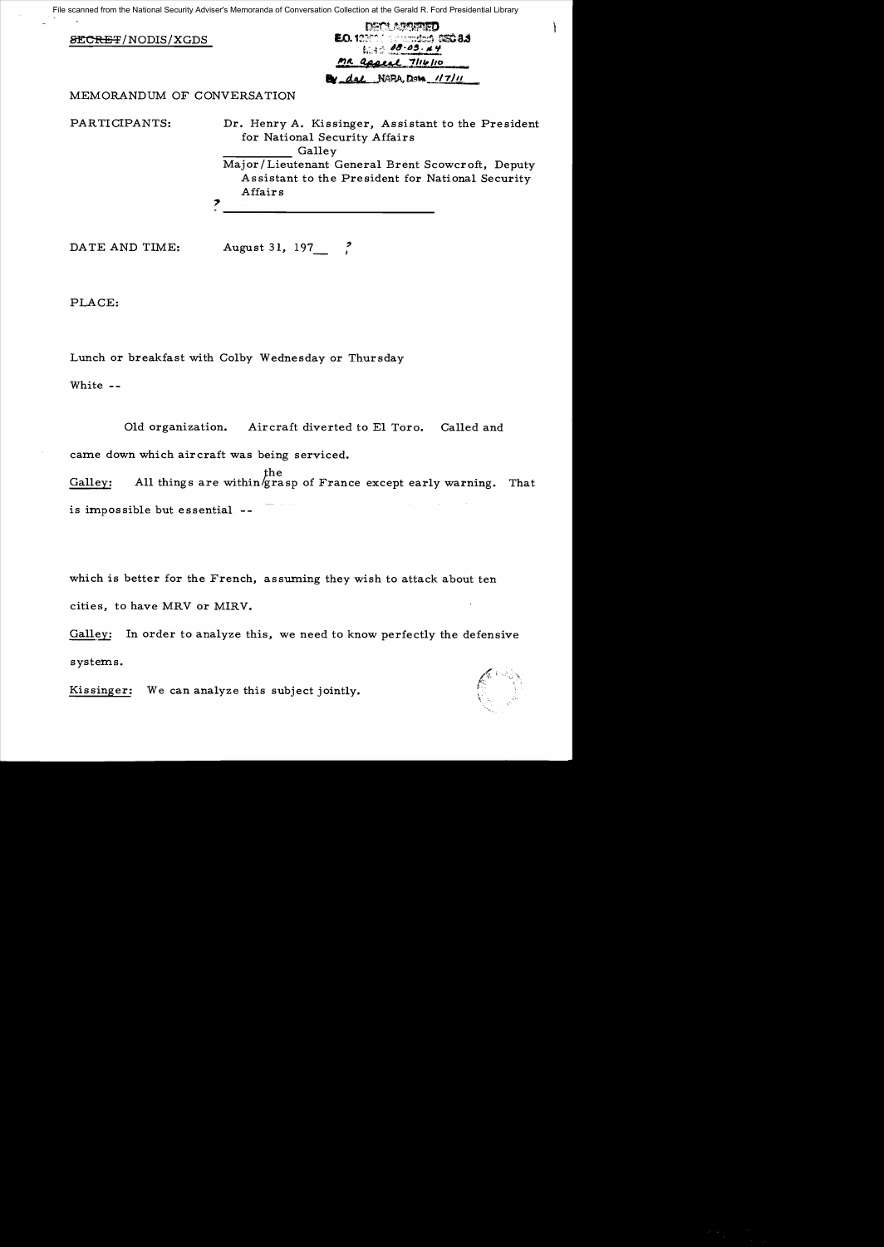File scanned from the National Security Adviser's Memoranda of Conversation Collection at the Gerald R. Ford Presidential Library

|                            | DATI ARSITED                                                                        |
|----------------------------|-------------------------------------------------------------------------------------|
| <b>SECRET/NODIS/XGDS</b>   | E.O. 12000 ( permanentes) 5550-8.3                                                  |
|                            | 1.300000044                                                                         |
|                            | MR appeal 7/16/10                                                                   |
|                            | By dal NGRA, Dong 117/11                                                            |
| MEMORANDUM OF CONVERSATION |                                                                                     |
| PARTICIPANTS:              | Dr. Henry A. Kissinger, Assistant to the President<br>for National Security Affairs |
|                            | Galley                                                                              |
|                            | Major/Lieutenant General Brent Scowcroft, Deputy                                    |
|                            | Assistant to the President for National Security                                    |
|                            | Affairs                                                                             |
|                            |                                                                                     |
|                            |                                                                                     |
|                            |                                                                                     |

DATE AND TIME: August 31, 197 ?

PLACE:

Lunch or breakfast with Colby Wednesday or Thursday

White -

Old organization. Aircraft diverted to El Toro. Called and came down which aircraft was being serviced.

the Galley: All things are within  $g$ rasp of France except early warning. That is impossible but essential -

which is better for the French, assuming they wish to attack about ten cities, to have MRV or MIRV.

Galley: In order to analyze this, we need to know perfectly the defensive systems.

Kissinger: We can analyze this subject jointly.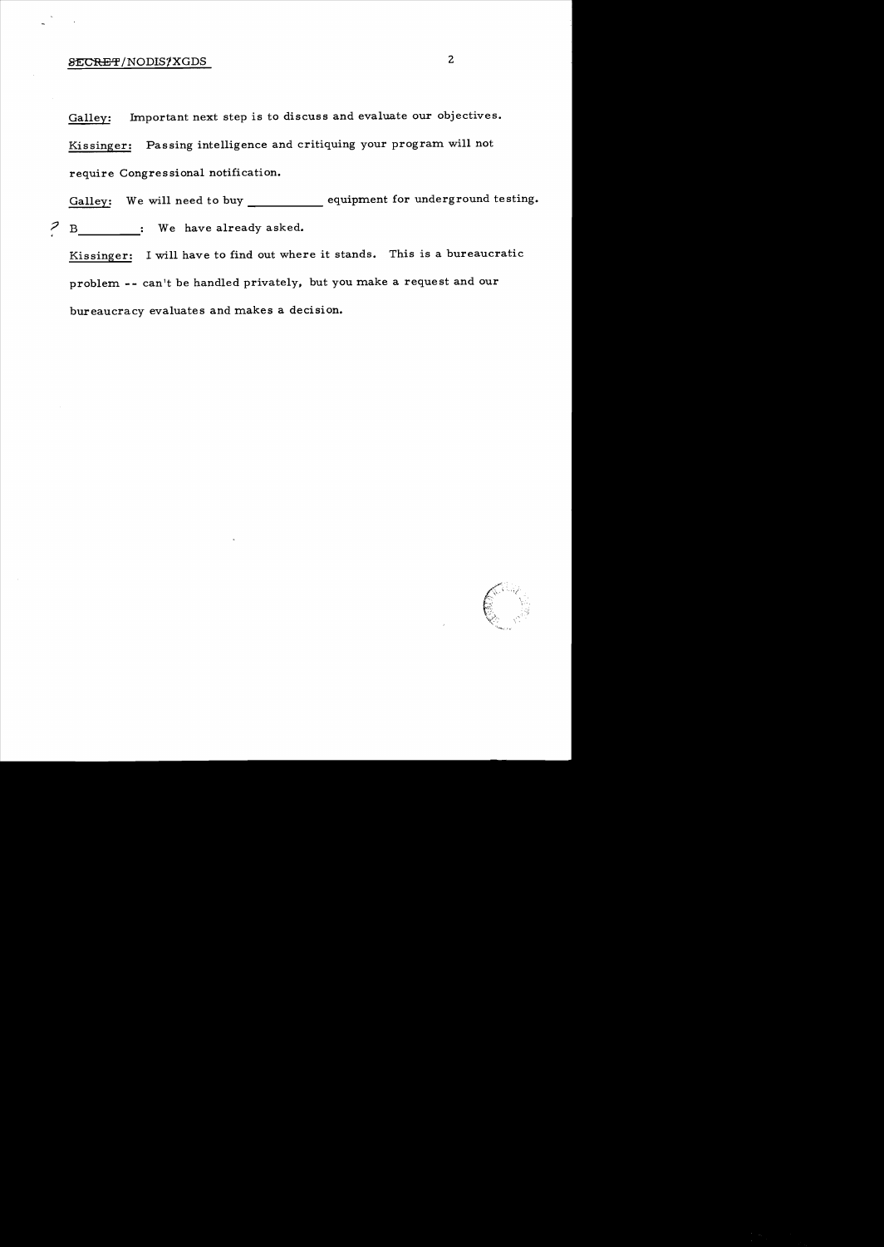## %SECRET/NODIS/XGDS 2

Galley: Important next step is to discuss and evaluate our objectives. Kissinger: Passing intelligence and critiquing your program will not require Congressional notification.

----- Galley: We will need to buy \_\_\_\_\_\_\_\_\_\_\_\_\_\_ equipment for underground testing.  $\begin{array}{ccc} 2 & B \end{array}$  We have already asked.

Kissinger: I will have to find out where it stands. This is a bureaucratic problem **--** can't be handled privately. but you make a request and our bureaucracy evaluates and makes a decision.